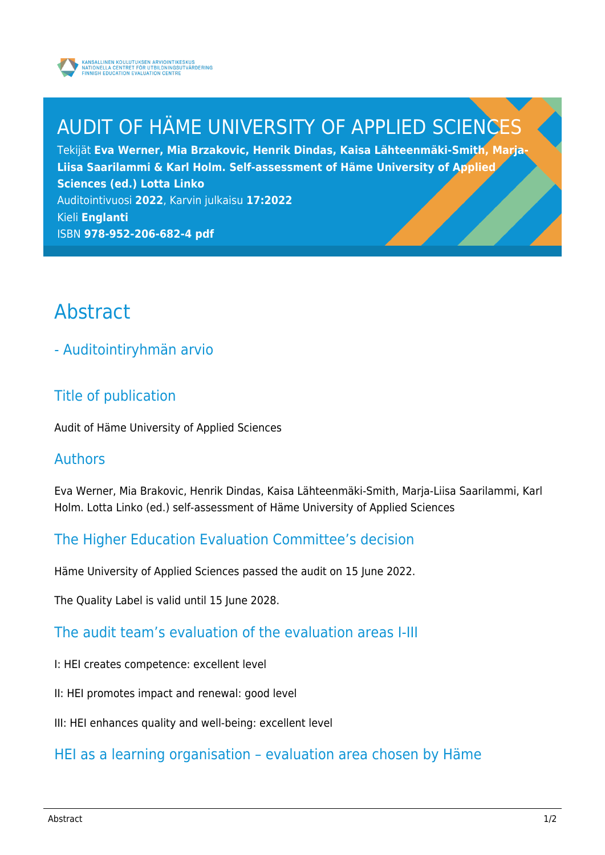

# AUDIT OF HÄME UNIVERSITY OF APPLIED SCIENCES

Tekijät **Eva Werner, Mia Brzakovic, Henrik Dindas, Kaisa Lähteenmäki-Smith, Marja-Liisa Saarilammi & Karl Holm. Self-assessment of Häme University of Applied Sciences (ed.) Lotta Linko** Auditointivuosi **2022**, Karvin julkaisu **17:2022** Kieli **Englanti** ISBN **978-952-206-682-4 pdf**

# Abstract

- Auditointiryhmän arvio

## Title of publication

Audit of Häme University of Applied Sciences

### Authors

Eva Werner, Mia Brakovic, Henrik Dindas, Kaisa Lähteenmäki-Smith, Marja-Liisa Saarilammi, Karl Holm. Lotta Linko (ed.) self-assessment of Häme University of Applied Sciences

## The Higher Education Evaluation Committee's decision

Häme University of Applied Sciences passed the audit on 15 June 2022.

The Quality Label is valid until 15 June 2028.

### The audit team's evaluation of the evaluation areas I-III

- I: HEI creates competence: excellent level
- II: HEI promotes impact and renewal: good level

III: HEI enhances quality and well-being: excellent level

### HEI as a learning organisation – evaluation area chosen by Häme